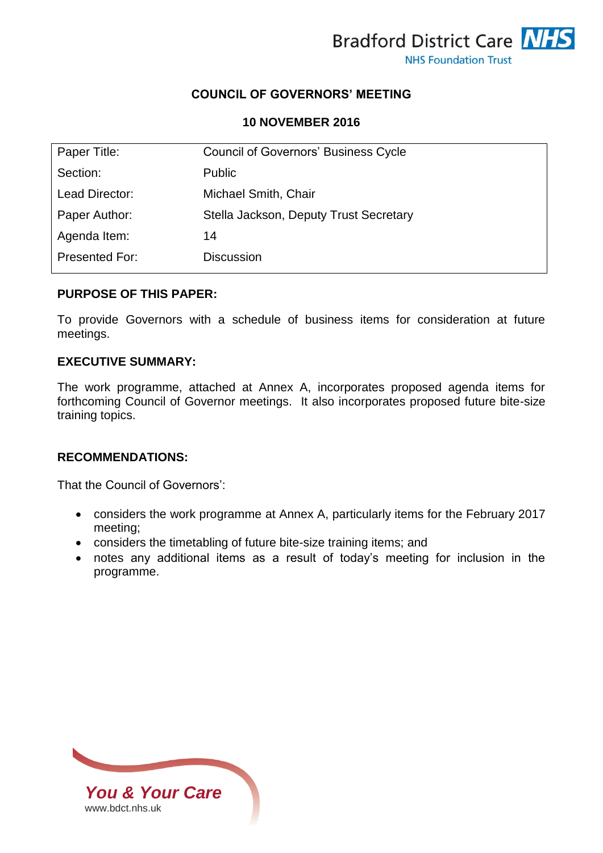

## **COUNCIL OF GOVERNORS' MEETING**

#### **10 NOVEMBER 2016**

| Paper Title:   | <b>Council of Governors' Business Cycle</b> |
|----------------|---------------------------------------------|
| Section:       | <b>Public</b>                               |
| Lead Director: | Michael Smith, Chair                        |
| Paper Author:  | Stella Jackson, Deputy Trust Secretary      |
| Agenda Item:   | 14                                          |
| Presented For: | <b>Discussion</b>                           |

### **PURPOSE OF THIS PAPER:**

To provide Governors with a schedule of business items for consideration at future meetings.

#### **EXECUTIVE SUMMARY:**

The work programme, attached at Annex A, incorporates proposed agenda items for forthcoming Council of Governor meetings. It also incorporates proposed future bite-size training topics.

## **RECOMMENDATIONS:**

That the Council of Governors':

- considers the work programme at Annex A, particularly items for the February 2017 meeting;
- considers the timetabling of future bite-size training items; and
- notes any additional items as a result of today's meeting for inclusion in the programme.

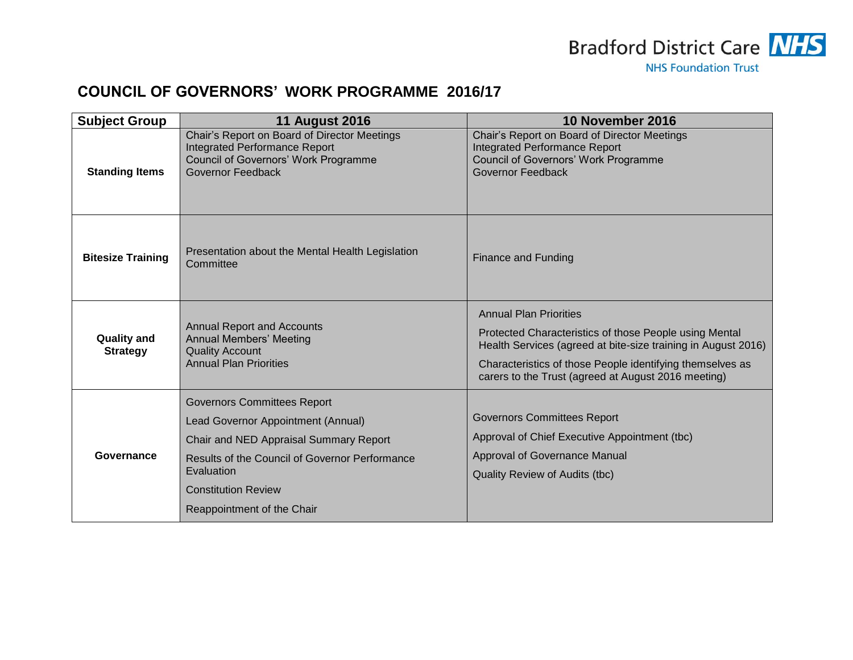

# **COUNCIL OF GOVERNORS' WORK PROGRAMME 2016/17**

| <b>Subject Group</b>                  | <b>11 August 2016</b>                                                                                                                                                                                                                                 | 10 November 2016                                                                                                                                                                                                                                                             |
|---------------------------------------|-------------------------------------------------------------------------------------------------------------------------------------------------------------------------------------------------------------------------------------------------------|------------------------------------------------------------------------------------------------------------------------------------------------------------------------------------------------------------------------------------------------------------------------------|
| <b>Standing Items</b>                 | Chair's Report on Board of Director Meetings<br>Integrated Performance Report<br><b>Council of Governors' Work Programme</b><br><b>Governor Feedback</b>                                                                                              | Chair's Report on Board of Director Meetings<br><b>Integrated Performance Report</b><br>Council of Governors' Work Programme<br>Governor Feedback                                                                                                                            |
| <b>Bitesize Training</b>              | Presentation about the Mental Health Legislation<br>Committee                                                                                                                                                                                         | <b>Finance and Funding</b>                                                                                                                                                                                                                                                   |
| <b>Quality and</b><br><b>Strategy</b> | <b>Annual Report and Accounts</b><br><b>Annual Members' Meeting</b><br><b>Quality Account</b><br><b>Annual Plan Priorities</b>                                                                                                                        | <b>Annual Plan Priorities</b><br>Protected Characteristics of those People using Mental<br>Health Services (agreed at bite-size training in August 2016)<br>Characteristics of those People identifying themselves as<br>carers to the Trust (agreed at August 2016 meeting) |
| Governance                            | <b>Governors Committees Report</b><br>Lead Governor Appointment (Annual)<br>Chair and NED Appraisal Summary Report<br><b>Results of the Council of Governor Performance</b><br>Evaluation<br><b>Constitution Review</b><br>Reappointment of the Chair | <b>Governors Committees Report</b><br>Approval of Chief Executive Appointment (tbc)<br>Approval of Governance Manual<br>Quality Review of Audits (tbc)                                                                                                                       |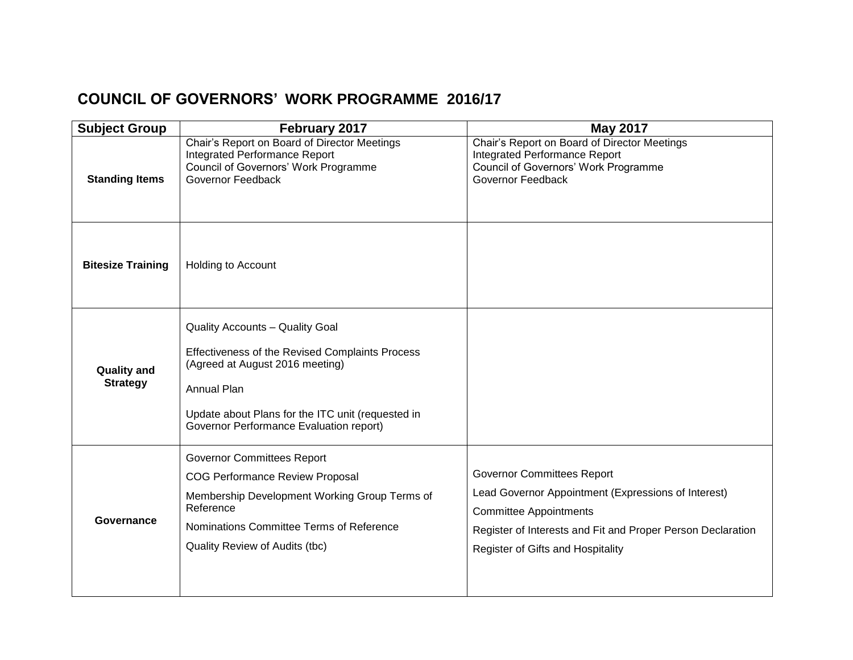# **COUNCIL OF GOVERNORS' WORK PROGRAMME 2016/17**

| <b>Subject Group</b>                  | February 2017                                                                                                                                                                                                                        | <b>May 2017</b>                                                                                                                                                                                                               |
|---------------------------------------|--------------------------------------------------------------------------------------------------------------------------------------------------------------------------------------------------------------------------------------|-------------------------------------------------------------------------------------------------------------------------------------------------------------------------------------------------------------------------------|
| <b>Standing Items</b>                 | Chair's Report on Board of Director Meetings<br>Integrated Performance Report<br>Council of Governors' Work Programme<br>Governor Feedback                                                                                           | Chair's Report on Board of Director Meetings<br>Integrated Performance Report<br>Council of Governors' Work Programme<br>Governor Feedback                                                                                    |
| <b>Bitesize Training</b>              | Holding to Account                                                                                                                                                                                                                   |                                                                                                                                                                                                                               |
| <b>Quality and</b><br><b>Strategy</b> | Quality Accounts - Quality Goal<br>Effectiveness of the Revised Complaints Process<br>(Agreed at August 2016 meeting)<br>Annual Plan<br>Update about Plans for the ITC unit (requested in<br>Governor Performance Evaluation report) |                                                                                                                                                                                                                               |
| Governance                            | <b>Governor Committees Report</b><br><b>COG Performance Review Proposal</b><br>Membership Development Working Group Terms of<br>Reference<br>Nominations Committee Terms of Reference<br>Quality Review of Audits (tbc)              | <b>Governor Committees Report</b><br>Lead Governor Appointment (Expressions of Interest)<br><b>Committee Appointments</b><br>Register of Interests and Fit and Proper Person Declaration<br>Register of Gifts and Hospitality |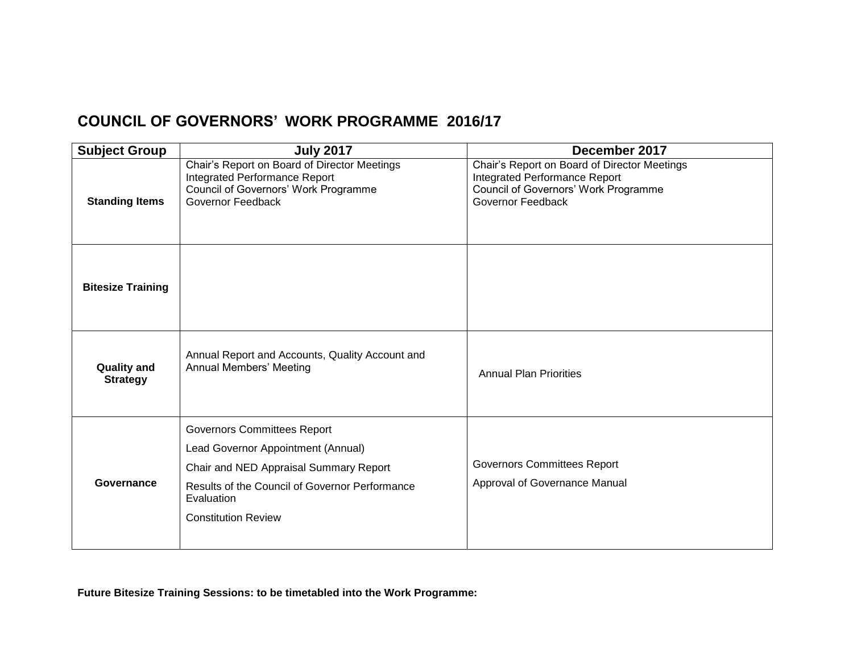# **COUNCIL OF GOVERNORS' WORK PROGRAMME 2016/17**

| <b>Subject Group</b>                  | <b>July 2017</b>                                                                                                                                                                                                 | December 2017                                                                                                                                     |
|---------------------------------------|------------------------------------------------------------------------------------------------------------------------------------------------------------------------------------------------------------------|---------------------------------------------------------------------------------------------------------------------------------------------------|
| <b>Standing Items</b>                 | Chair's Report on Board of Director Meetings<br>Integrated Performance Report<br>Council of Governors' Work Programme<br>Governor Feedback                                                                       | Chair's Report on Board of Director Meetings<br><b>Integrated Performance Report</b><br>Council of Governors' Work Programme<br>Governor Feedback |
| <b>Bitesize Training</b>              |                                                                                                                                                                                                                  |                                                                                                                                                   |
| <b>Quality and</b><br><b>Strategy</b> | Annual Report and Accounts, Quality Account and<br><b>Annual Members' Meeting</b>                                                                                                                                | <b>Annual Plan Priorities</b>                                                                                                                     |
| Governance                            | <b>Governors Committees Report</b><br>Lead Governor Appointment (Annual)<br>Chair and NED Appraisal Summary Report<br>Results of the Council of Governor Performance<br>Evaluation<br><b>Constitution Review</b> | <b>Governors Committees Report</b><br>Approval of Governance Manual                                                                               |

**Future Bitesize Training Sessions: to be timetabled into the Work Programme:**